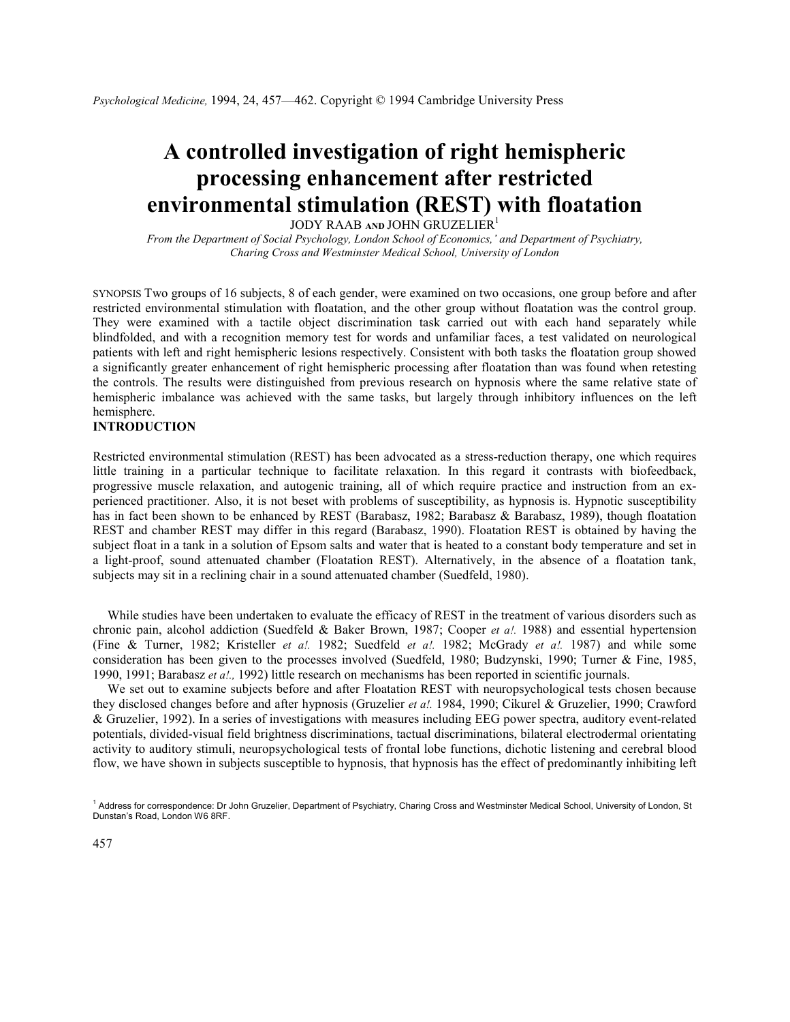# A controlled investigation of right hemispheric processing enhancement after restricted environmental stimulation (REST) with floatation

JODY RAAB AND JOHN GRUZELIER<sup>1</sup>

From the Department of Social Psychology, London School of Economics,' and Department of Psychiatry, Charing Cross and Westminster Medical School, University of London

SYNOPSIS Two groups of 16 subjects, 8 of each gender, were examined on two occasions, one group before and after restricted environmental stimulation with floatation, and the other group without floatation was the control group. They were examined with a tactile object discrimination task carried out with each hand separately while blindfolded, and with a recognition memory test for words and unfamiliar faces, a test validated on neurological patients with left and right hemispheric lesions respectively. Consistent with both tasks the floatation group showed a significantly greater enhancement of right hemispheric processing after floatation than was found when retesting the controls. The results were distinguished from previous research on hypnosis where the same relative state of hemispheric imbalance was achieved with the same tasks, but largely through inhibitory influences on the left hemisphere.

# INTRODUCTION

Restricted environmental stimulation (REST) has been advocated as a stress-reduction therapy, one which requires little training in a particular technique to facilitate relaxation. In this regard it contrasts with biofeedback, progressive muscle relaxation, and autogenic training, all of which require practice and instruction from an experienced practitioner. Also, it is not beset with problems of susceptibility, as hypnosis is. Hypnotic susceptibility has in fact been shown to be enhanced by REST (Barabasz, 1982; Barabasz & Barabasz, 1989), though floatation REST and chamber REST may differ in this regard (Barabasz, 1990). Floatation REST is obtained by having the subject float in a tank in a solution of Epsom salts and water that is heated to a constant body temperature and set in a light-proof, sound attenuated chamber (Floatation REST). Alternatively, in the absence of a floatation tank, subjects may sit in a reclining chair in a sound attenuated chamber (Suedfeld, 1980).

While studies have been undertaken to evaluate the efficacy of REST in the treatment of various disorders such as chronic pain, alcohol addiction (Suedfeld & Baker Brown, 1987; Cooper *et a!.* 1988) and essential hypertension (Fine & Turner, 1982; Kristeller et al. 1982; Suedfeld et al. 1982; McGrady et al. 1987) and while some consideration has been given to the processes involved (Suedfeld, 1980; Budzynski, 1990; Turner & Fine, 1985, 1990, 1991; Barabasz et a!., 1992) little research on mechanisms has been reported in scientific journals.

We set out to examine subjects before and after Floatation REST with neuropsychological tests chosen because they disclosed changes before and after hypnosis (Gruzelier et al. 1984, 1990; Cikurel & Gruzelier, 1990; Crawford & Gruzelier, 1992). In a series of investigations with measures including EEG power spectra, auditory event-related potentials, divided-visual field brightness discriminations, tactual discriminations, bilateral electrodermal orientating activity to auditory stimuli, neuropsychological tests of frontal lobe functions, dichotic listening and cerebral blood flow, we have shown in subjects susceptible to hypnosis, that hypnosis has the effect of predominantly inhibiting left

<sup>&</sup>lt;sup>1</sup> Address for correspondence: Dr John Gruzelier, Department of Psychiatry, Charing Cross and Westminster Medical School, University of London, St Dunstan's Road, London W6 8RF.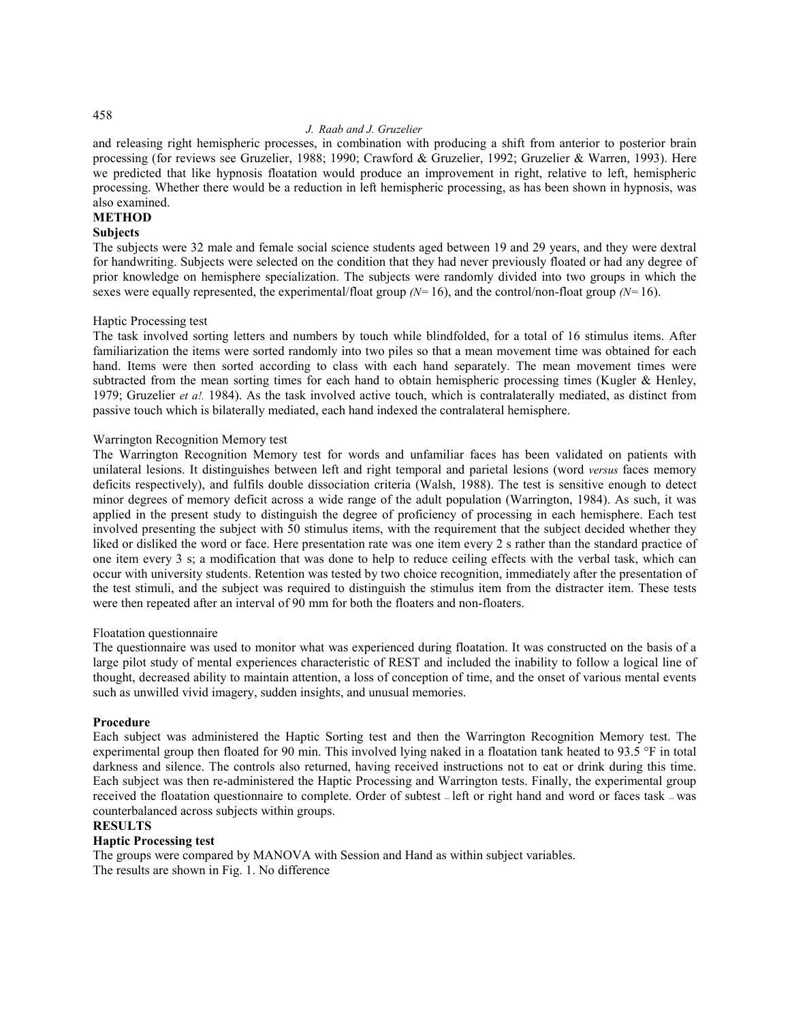## J. Raab and J. Gruzelier

and releasing right hemispheric processes, in combination with producing a shift from anterior to posterior brain processing (for reviews see Gruzelier, 1988; 1990; Crawford & Gruzelier, 1992; Gruzelier & Warren, 1993). Here we predicted that like hypnosis floatation would produce an improvement in right, relative to left, hemispheric processing. Whether there would be a reduction in left hemispheric processing, as has been shown in hypnosis, was also examined.

## **METHOD**

## **Subjects**

The subjects were 32 male and female social science students aged between 19 and 29 years, and they were dextral for handwriting. Subjects were selected on the condition that they had never previously floated or had any degree of prior knowledge on hemisphere specialization. The subjects were randomly divided into two groups in which the sexes were equally represented, the experimental/float group  $(N=16)$ , and the control/non-float group  $(N=16)$ .

## Haptic Processing test

The task involved sorting letters and numbers by touch while blindfolded, for a total of 16 stimulus items. After familiarization the items were sorted randomly into two piles so that a mean movement time was obtained for each hand. Items were then sorted according to class with each hand separately. The mean movement times were subtracted from the mean sorting times for each hand to obtain hemispheric processing times (Kugler & Henley, 1979; Gruzelier et al. 1984). As the task involved active touch, which is contralaterally mediated, as distinct from passive touch which is bilaterally mediated, each hand indexed the contralateral hemisphere.

## Warrington Recognition Memory test

The Warrington Recognition Memory test for words and unfamiliar faces has been validated on patients with unilateral lesions. It distinguishes between left and right temporal and parietal lesions (word versus faces memory deficits respectively), and fulfils double dissociation criteria (Walsh, 1988). The test is sensitive enough to detect minor degrees of memory deficit across a wide range of the adult population (Warrington, 1984). As such, it was applied in the present study to distinguish the degree of proficiency of processing in each hemisphere. Each test involved presenting the subject with 50 stimulus items, with the requirement that the subject decided whether they liked or disliked the word or face. Here presentation rate was one item every 2 s rather than the standard practice of one item every 3 s; a modification that was done to help to reduce ceiling effects with the verbal task, which can occur with university students. Retention was tested by two choice recognition, immediately after the presentation of the test stimuli, and the subject was required to distinguish the stimulus item from the distracter item. These tests were then repeated after an interval of 90 mm for both the floaters and non-floaters.

#### Floatation questionnaire

The questionnaire was used to monitor what was experienced during floatation. It was constructed on the basis of a large pilot study of mental experiences characteristic of REST and included the inability to follow a logical line of thought, decreased ability to maintain attention, a loss of conception of time, and the onset of various mental events such as unwilled vivid imagery, sudden insights, and unusual memories.

## Procedure

Each subject was administered the Haptic Sorting test and then the Warrington Recognition Memory test. The experimental group then floated for 90 min. This involved lying naked in a floatation tank heated to 93.5 °F in total darkness and silence. The controls also returned, having received instructions not to eat or drink during this time. Each subject was then re-administered the Haptic Processing and Warrington tests. Finally, the experimental group received the floatation questionnaire to complete. Order of subtest — left or right hand and word or faces task — was counterbalanced across subjects within groups.

## **RESULTS**

## Haptic Processing test

The groups were compared by MANOVA with Session and Hand as within subject variables. The results are shown in Fig. 1. No difference

## 458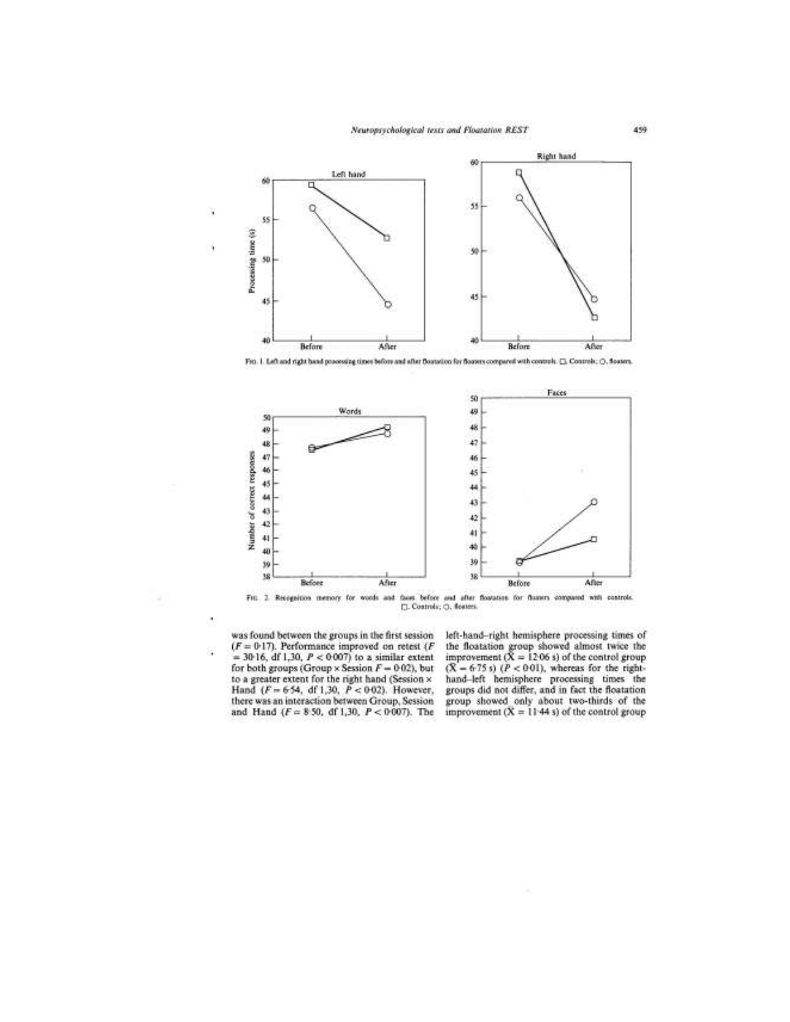

Fits. 1. Left and right hand processing times before and after Bostotico for Bosters compared with controls. []. Controls: (3, Sosters.



Fig. 2. Reception memory for words and faces before and after floatstes for fluxers compared with controls.  $\square$  Controls;  $\square$ , Controls;  $\square$ , Controls;  $\square$ , Controls;  $\square$ , Controls;  $\square$ , Controls;  $\square$ , Controls;  $\s$ 

was found between the groups in the first session  $(F = 0.17)$ . Performance improved on retest  $(F$ Ğ, = 30-16, df 1,30,  $P < 0.007$ ) to a similar extent for both groups (Group × Session  $F = 0.02$ ), but to a greater extent for the right hand (Session  $\times$  Hand ( $F = 6.54$ , df 1,30,  $P < 0.02$ ). However, there was an interaction between Group, Session and Hand ( $F = 8.50$ , df 1,30,  $P < 0.007$ ). The

left-hand-right hemisphere processing times of the floatation group showed almost twice the<br>improvement  $(X = 1206 s)$  of the control group  $(X = 6.75 s) (P < 001)$ , whereas for the right-<br>hand-left hemisphere processing times the<br>groups did not differ, and in fact the floatation group showed only about two-thirds of the<br>improvement  $(X = 1144 s)$  of the control group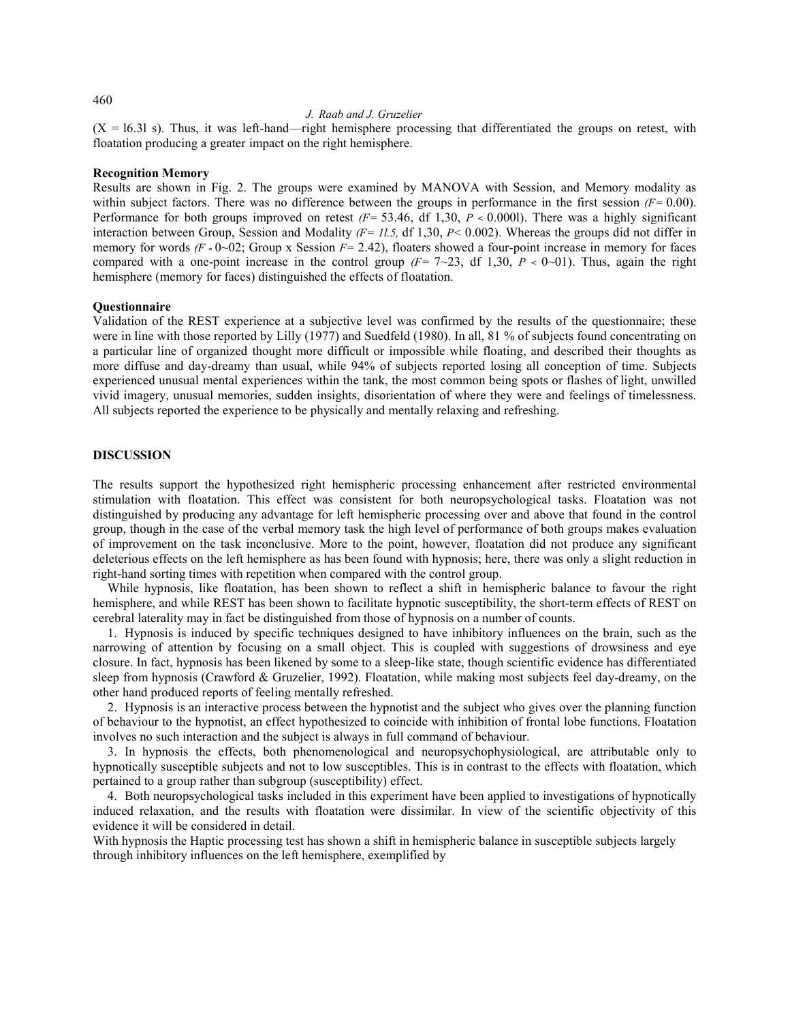#### J. Raab and J. Gruzelier

 $(X = 16.31 \text{ s})$ . Thus, it was left-hand—right hemisphere processing that differentiated the groups on retest, with floatation producing a greater impact on the right hemisphere.

#### Recognition Memory

Results are shown in Fig. 2. The groups were examined by MANOVA with Session, and Memory modality as within subject factors. There was no difference between the groups in performance in the first session  $(F= 0.00)$ . Performance for both groups improved on retest  $(F = 53.46, df 1,30, P < 0.0001)$ . There was a highly significant interaction between Group, Session and Modality  $(F = 11.5, df 1,30, P < 0.002)$ . Whereas the groups did not differ in memory for words  $(F = 0~0~02)$ ; Group x Session  $F = 2.42$ ), floaters showed a four-point increase in memory for faces compared with a one-point increase in the control group  $(F = 7 \sim 23$ , df 1,30, P < 0~01). Thus, again the right hemisphere (memory for faces) distinguished the effects of floatation.

## **Ouestionnaire**

Validation of the REST experience at a subjective level was confirmed by the results of the questionnaire; these were in line with those reported by Lilly (1977) and Suedfeld (1980). In all, 81 % of subjects found concentrating on a particular line of organized thought more difficult or impossible while floating, and described their thoughts as more diffuse and day-dreamy than usual, while 94% of subjects reported losing all conception of time. Subjects experienced unusual mental experiences within the tank, the most common being spots or flashes of light, unwilled vivid imagery, unusual memories, sudden insights, disorientation of where they were and feelings of timelessness. All subjects reported the experience to be physically and mentally relaxing and refreshing.

## DISCUSSION

The results support the hypothesized right hemispheric processing enhancement after restricted environmental stimulation with floatation. This effect was consistent for both neuropsychological tasks. Floatation was not distinguished by producing any advantage for left hemispheric processing over and above that found in the control group, though in the case of the verbal memory task the high level of performance of both groups makes evaluation of improvement on the task inconclusive. More to the point, however, floatation did not produce any significant deleterious effects on the left hemisphere as has been found with hypnosis; here, there was only a slight reduction in right-hand sorting times with repetition when compared with the control group.

While hypnosis, like floatation, has been shown to reflect a shift in hemispheric balance to favour the right hemisphere, and while REST has been shown to facilitate hypnotic susceptibility, the short-term effects of REST on cerebral laterality may in fact be distinguished from those of hypnosis on a number of counts.

1. Hypnosis is induced by specific techniques designed to have inhibitory influences on the brain, such as the narrowing of attention by focusing on a small object. This is coupled with suggestions of drowsiness and eye closure. In fact, hypnosis has been likened by some to a sleep-like state, though scientific evidence has differentiated sleep from hypnosis (Crawford & Gruzelier, 1992). Floatation, while making most subjects feel day-dreamy, on the other hand produced reports of feeling mentally refreshed.

2. Hypnosis is an interactive process between the hypnotist and the subject who gives over the planning function of behaviour to the hypnotist, an effect hypothesized to coincide with inhibition of frontal lobe functions. Floatation involves no such interaction and the subject is always in full command of behaviour.

3. In hypnosis the effects, both phenomenological and neuropsychophysiological, are attributable only to hypnotically susceptible subjects and not to low susceptibles. This is in contrast to the effects with floatation, which pertained to a group rather than subgroup (susceptibility) effect.

4. Both neuropsychological tasks included in this experiment have been applied to investigations of hypnotically induced relaxation, and the results with floatation were dissimilar. In view of the scientific objectivity of this evidence it will be considered in detail.

With hypnosis the Haptic processing test has shown a shift in hemispheric balance in susceptible subjects largely through inhibitory influences on the left hemisphere, exemplified by

460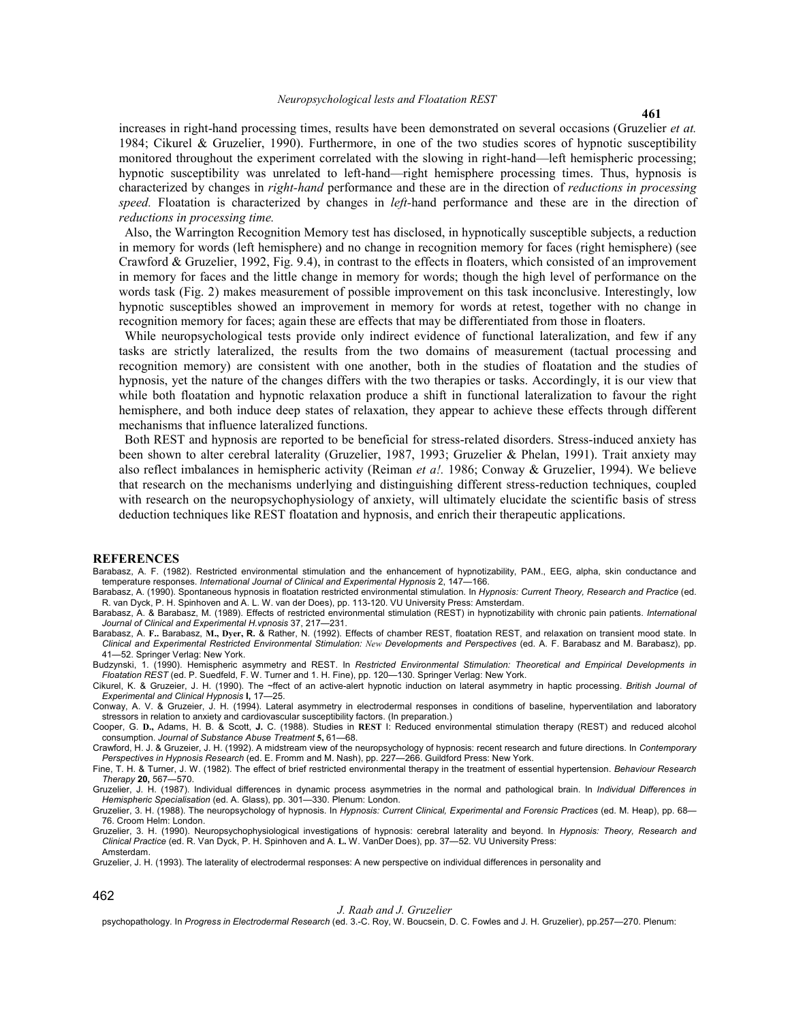increases in right-hand processing times, results have been demonstrated on several occasions (Gruzelier et at. 1984; Cikurel & Gruzelier, 1990). Furthermore, in one of the two studies scores of hypnotic susceptibility monitored throughout the experiment correlated with the slowing in right-hand—left hemispheric processing; hypnotic susceptibility was unrelated to left-hand—right hemisphere processing times. Thus, hypnosis is characterized by changes in right-hand performance and these are in the direction of reductions in processing speed. Floatation is characterized by changes in *left*-hand performance and these are in the direction of reductions in processing time.

Also, the Warrington Recognition Memory test has disclosed, in hypnotically susceptible subjects, a reduction in memory for words (left hemisphere) and no change in recognition memory for faces (right hemisphere) (see Crawford & Gruzelier, 1992, Fig. 9.4), in contrast to the effects in floaters, which consisted of an improvement in memory for faces and the little change in memory for words; though the high level of performance on the words task (Fig. 2) makes measurement of possible improvement on this task inconclusive. Interestingly, low hypnotic susceptibles showed an improvement in memory for words at retest, together with no change in recognition memory for faces; again these are effects that may be differentiated from those in floaters.

While neuropsychological tests provide only indirect evidence of functional lateralization, and few if any tasks are strictly lateralized, the results from the two domains of measurement (tactual processing and recognition memory) are consistent with one another, both in the studies of floatation and the studies of hypnosis, yet the nature of the changes differs with the two therapies or tasks. Accordingly, it is our view that while both floatation and hypnotic relaxation produce a shift in functional lateralization to favour the right hemisphere, and both induce deep states of relaxation, they appear to achieve these effects through different mechanisms that influence lateralized functions.

Both REST and hypnosis are reported to be beneficial for stress-related disorders. Stress-induced anxiety has been shown to alter cerebral laterality (Gruzelier, 1987, 1993; Gruzelier & Phelan, 1991). Trait anxiety may also reflect imbalances in hemispheric activity (Reiman et al. 1986; Conway & Gruzelier, 1994). We believe that research on the mechanisms underlying and distinguishing different stress-reduction techniques, coupled with research on the neuropsychophysiology of anxiety, will ultimately elucidate the scientific basis of stress deduction techniques like REST floatation and hypnosis, and enrich their therapeutic applications.

#### **REFERENCES**

Barabasz, A. F. (1982). Restricted environmental stimulation and the enhancement of hypnotizability, PAM., EEG, alpha, skin conductance and temperature responses. International Journal of Clinical and Experimental Hypnosis 2, 147-166.

Barabasz, A. (1990). Spontaneous hypnosis in floatation restricted environmental stimulation. In Hypnosis: Current Theory, Research and Practice (ed. R. van Dyck, P. H. Spinhoven and A. L. W. van der Does), pp. 113-120. VU University Press: Amsterdam.

Barabasz, A. & Barabasz, M. (1989). Effects of restricted environmental stimulation (REST) in hypnotizability with chronic pain patients. International Journal of Clinical and Experimental H.vpnosis 37, 217—231.

Barabasz, A. F.. Barabasz, M., Dyer, R. & Rather, N. (1992). Effects of chamber REST, floatation REST, and relaxation on transient mood state. In Clinical and Experimental Restricted Environmental Stimulation: New Developments and Perspectives (ed. A. F. Barabasz and M. Barabasz), pp. 41—52. Springer Verlag: New York.

Budzynski, 1. (1990). Hemispheric asymmetry and REST. In Restricted Environmental Stimulation: Theoretical and Empirical Developments in Floatation REST (ed. P. Suedfeld, F. W. Turner and 1. H. Fine), pp. 120-130. Springer Verlag: New York.

Cikurel, K. & Gruzeier, J. H. (1990). The ~ffect of an active-alert hypnotic induction on lateral asymmetry in haptic processing. British Journal of Experimental and Clinical Hypnosis I, 17—25.

Conway, A. V. & Gruzeier, J. H. (1994). Lateral asymmetry in electrodermal responses in conditions of baseline, hyperventilation and laboratory stressors in relation to anxiety and cardiovascular susceptibility factors. (In preparation.)

Cooper, G. D., Adams, H. B. & Scott, J. C. (1988). Studies in REST I: Reduced environmental stimulation therapy (REST) and reduced alcohol consumption. Journal of Substance Abuse Treatment 5, 61—68.

Crawford, H. J. & Gruzeier, J. H. (1992). A midstream view of the neuropsychology of hypnosis: recent research and future directions. In Contemporary Perspectives in Hypnosis Research (ed. E. Fromm and M. Nash), pp. 227—266. Guildford Press: New York.

Fine, T. H. & Turner, J. W. (1982). The effect of brief restricted environmental therapy in the treatment of essential hypertension. Behaviour Research Therapy 20, 567—570.

Gruzelier, J. H. (1987). Individual differences in dynamic process asymmetries in the normal and pathological brain. In Individual Differences in Hemispheric Specialisation (ed. A. Glass), pp. 301—330. Plenum: London.

Gruzelier, 3. H. (1988). The neuropsychology of hypnosis. In Hypnosis: Current Clinical, Experimental and Forensic Practices (ed. M. Heap), pp. 68-76. Croom Helm: London.

Gruzelier, 3. H. (1990). Neuropsychophysiological investigations of hypnosis: cerebral laterality and beyond. In Hypnosis: Theory, Research and Clinical Practice (ed. R. Van Dyck, P. H. Spinhoven and A. L. W. VanDer Does), pp. 37—52. VU University Press: Amsterdam.

Gruzelier, J. H. (1993). The laterality of electrodermal responses: A new perspective on individual differences in personality and

462

#### J. Raab and J. Gruzelier

psychopathology. In Progress in Electrodermal Research (ed. 3.-C. Roy, W. Boucsein, D. C. Fowles and J. H. Gruzelier), pp.257-270. Plenum: